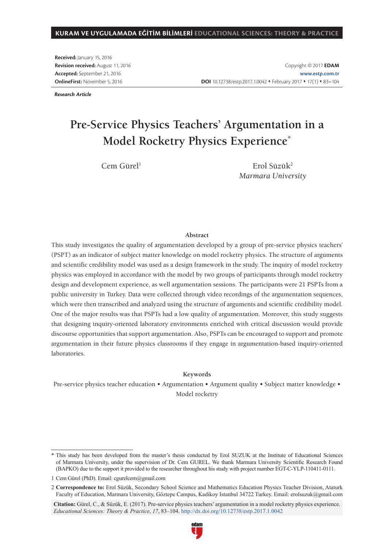**Received:** January 15, 2016 **Revision received:** August 11, 2016 **Accepted:** September 21, 2016 **OnlineFirst:** November 5, 2016

Copyright © 2017 **EDAM www.estp.com.tr** DOI 10.12738/estp.2017.1.0042 • February 2017 • 17(1) • 83-104

*Research Article*

# **Pre-Service Physics Teachers' Argumentation in a Model Rocketry Physics Experience\***

 $Cem$  Gürel<sup>1</sup> Erol Süzük<sup>2</sup> *Marmara University*

#### **Abstract**

This study investigates the quality of argumentation developed by a group of pre-service physics teachers' (PSPT) as an indicator of subject matter knowledge on model rocketry physics. The structure of arguments and scientific credibility model was used as a design framework in the study. The inquiry of model rocketry physics was employed in accordance with the model by two groups of participants through model rocketry design and development experience, as well argumentation sessions. The participants were 21 PSPTs from a public university in Turkey. Data were collected through video recordings of the argumentation sequences, which were then transcribed and analyzed using the structure of arguments and scientific credibility model. One of the major results was that PSPTs had a low quality of argumentation. Moreover, this study suggests that designing inquiry-oriented laboratory environments enriched with critical discussion would provide discourse opportunities that support argumentation. Also, PSPTs can be encouraged to support and promote argumentation in their future physics classrooms if they engage in argumentation-based inquiry-oriented laboratories.

#### **Keywords**

Pre-service physics teacher education • Argumentation • Argument quality • Subject matter knowledge • Model rocketry

**Citation:** Gürel, C., & Süzük, E. (2017). Pre-service physics teachers' argumentation in a model rocketry physics experience. *Educational Sciences: Theory & Practice*, *17*, 83–104. http://dx.doi.org/10.12738/estp.2017.1.0042



<sup>\*</sup> This study has been developed from the master's thesis conducted by Erol SUZUK at the Institute of Educational Sciences of Marmara University, under the supervision of Dr. Cem GUREL. We thank Marmara University Scientific Research Found (BAPKO) due to the support it provided to the researcher throughout his study with project number EGT-C-YLP-110411-0111.

<sup>1</sup> Cem Gürel (PhD). Email: cgurelcem@gmail.com

<sup>2</sup> **Correspondence to:** Erol Süzük, Secondary School Science and Mathematics Education Physics Teacher Division, Ataturk Faculty of Education, Marmara University, Göztepe Campus, Kadikoy Istanbul 34722 Turkey. Email: erolsuzuk@gmail.com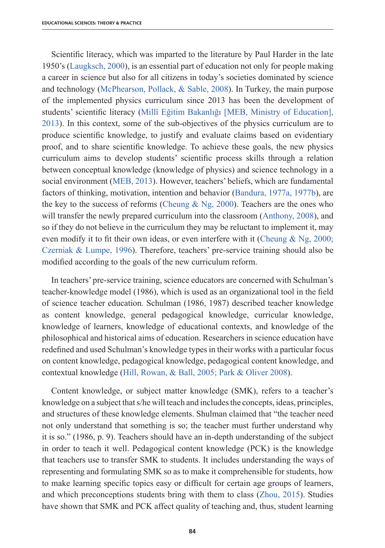Scientific literacy, which was imparted to the literature by Paul Harder in the late 1950's (Laugksch, 2000), is an essential part of education not only for people making a career in science but also for all citizens in today's societies dominated by science and technology (McPhearson, Pollack, & Sable, 2008). In Turkey, the main purpose of the implemented physics curriculum since 2013 has been the development of students' scientific literacy (Millî Eğitim Bakanlığı [MEB, Ministry of Education], 2013). In this context, some of the sub-objectives of the physics curriculum are to produce scientific knowledge, to justify and evaluate claims based on evidentiary proof, and to share scientific knowledge. To achieve these goals, the new physics curriculum aims to develop students' scientific process skills through a relation between conceptual knowledge (knowledge of physics) and science technology in a social environment (MEB, 2013). However, teachers' beliefs, which are fundamental factors of thinking, motivation, intention and behavior (Bandura, 1977a, 1977b), are the key to the success of reforms (Cheung & Ng, 2000). Teachers are the ones who will transfer the newly prepared curriculum into the classroom (Anthony, 2008), and so if they do not believe in the curriculum they may be reluctant to implement it, may even modify it to fit their own ideas, or even interfere with it (Cheung  $\&$  Ng, 2000; Czerniak & Lumpe, 1996). Therefore, teachers' pre-service training should also be modified according to the goals of the new curriculum reform.

In teachers' pre-service training, science educators are concerned with Schulman's teacher-knowledge model (1986), which is used as an organizational tool in the field of science teacher education. Schulman (1986, 1987) described teacher knowledge as content knowledge, general pedagogical knowledge, curricular knowledge, knowledge of learners, knowledge of educational contexts, and knowledge of the philosophical and historical aims of education. Researchers in science education have redefined and used Schulman's knowledge types in their works with a particular focus on content knowledge, pedagogical knowledge, pedagogical content knowledge, and contextual knowledge (Hill, Rowan, & Ball, 2005; Park & Oliver 2008).

Content knowledge, or subject matter knowledge (SMK), refers to a teacher's knowledge on a subject that s/he will teach and includes the concepts, ideas, principles, and structures of these knowledge elements. Shulman claimed that "the teacher need not only understand that something is so; the teacher must further understand why it is so." (1986, p. 9). Teachers should have an in-depth understanding of the subject in order to teach it well. Pedagogical content knowledge (PCK) is the knowledge that teachers use to transfer SMK to students. It includes understanding the ways of representing and formulating SMK so as to make it comprehensible for students, how to make learning specific topics easy or difficult for certain age groups of learners, and which preconceptions students bring with them to class (Zhou, 2015). Studies have shown that SMK and PCK affect quality of teaching and, thus, student learning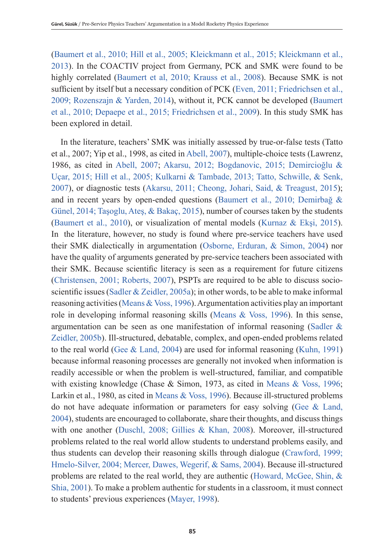(Baumert et al., 2010; Hill et al., 2005; Kleickmann et al., 2015; Kleickmann et al., 2013). In the COACTIV project from Germany, PCK and SMK were found to be highly correlated (Baumert et al, 2010; Krauss et al., 2008). Because SMK is not sufficient by itself but a necessary condition of PCK (Even, 2011; Friedrichsen et al., 2009; Rozenszajn & Yarden, 2014), without it, PCK cannot be developed (Baumert et al., 2010; Depaepe et al., 2015; Friedrichsen et al., 2009). In this study SMK has been explored in detail.

In the literature, teachers' SMK was initially assessed by true-or-false tests (Tatto et al., 2007; Yip et al., 1998, as cited in Abell, 2007), multiple-choice tests (Lawrenz, 1986, as cited in Abell, 2007; Akarsu, 2012; Bogdanovic, 2015; Demircioğlu & Uçar, 2015; Hill et al., 2005; Kulkarni & Tambade, 2013; Tatto, Schwille, & Senk, 2007), or diagnostic tests (Akarsu, 2011; Cheong, Johari, Said, & Treagust, 2015); and in recent years by open-ended questions (Baumert et al., 2010; Demirbağ & Günel, 2014; Taşoglu, Ateş, & Bakaç, 2015), number of courses taken by the students (Baumert et al., 2010), or visualization of mental models (Kurnaz & Ekşi, 2015). In the literature, however, no study is found where pre-service teachers have used their SMK dialectically in argumentation (Osborne, Erduran, & Simon, 2004) nor have the quality of arguments generated by pre-service teachers been associated with their SMK. Because scientific literacy is seen as a requirement for future citizens (Christensen, 2001; Roberts, 2007), PSPTs are required to be able to discuss socioscientific issues (Sadler & Zeidler, 2005a); in other words, to be able to make informal reasoning activities (Means & Voss, 1996). Argumentation activities play an important role in developing informal reasoning skills (Means & Voss, 1996). In this sense, argumentation can be seen as one manifestation of informal reasoning (Sadler  $\&$ Zeidler, 2005b). Ill-structured, debatable, complex, and open-ended problems related to the real world (Gee & Land, 2004) are used for informal reasoning (Kuhn, 1991) because informal reasoning processes are generally not invoked when information is readily accessible or when the problem is well-structured, familiar, and compatible with existing knowledge (Chase & Simon, 1973, as cited in Means & Voss, 1996; Larkin et al., 1980, as cited in Means & Voss, 1996). Because ill-structured problems do not have adequate information or parameters for easy solving (Gee  $\&$  Land, 2004), students are encouraged to collaborate, share their thoughts, and discuss things with one another (Duschl, 2008; Gillies & Khan, 2008). Moreover, ill-structured problems related to the real world allow students to understand problems easily, and thus students can develop their reasoning skills through dialogue (Crawford, 1999; Hmelo-Silver, 2004; Mercer, Dawes, Wegerif, & Sams, 2004). Because ill-structured problems are related to the real world, they are authentic (Howard, McGee, Shin, & Shia, 2001). To make a problem authentic for students in a classroom, it must connect to students' previous experiences (Mayer, 1998).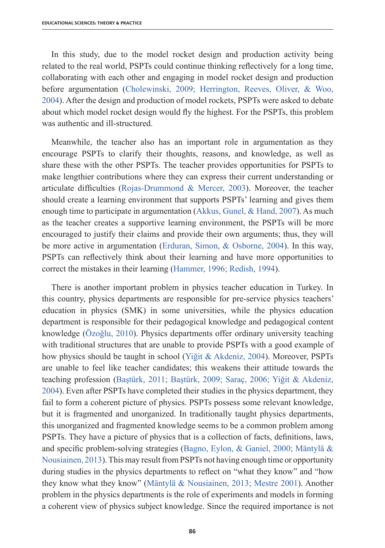In this study, due to the model rocket design and production activity being related to the real world, PSPTs could continue thinking reflectively for a long time, collaborating with each other and engaging in model rocket design and production before argumentation (Cholewinski, 2009; Herrington, Reeves, Oliver, & Woo, 2004). After the design and production of model rockets, PSPTs were asked to debate about which model rocket design would fly the highest. For the PSPTs, this problem was authentic and ill-structured.

Meanwhile, the teacher also has an important role in argumentation as they encourage PSPTs to clarify their thoughts, reasons, and knowledge, as well as share these with the other PSPTs. The teacher provides opportunities for PSPTs to make lengthier contributions where they can express their current understanding or articulate difficulties (Rojas-Drummond & Mercer, 2003). Moreover, the teacher should create a learning environment that supports PSPTs' learning and gives them enough time to participate in argumentation (Akkus, Gunel, & Hand, 2007). As much as the teacher creates a supportive learning environment, the PSPTs will be more encouraged to justify their claims and provide their own arguments; thus, they will be more active in argumentation (Erduran, Simon, & Osborne, 2004). In this way, PSPTs can reflectively think about their learning and have more opportunities to correct the mistakes in their learning (Hammer, 1996; Redish, 1994).

There is another important problem in physics teacher education in Turkey. In this country, physics departments are responsible for pre-service physics teachers' education in physics (SMK) in some universities, while the physics education department is responsible for their pedagogical knowledge and pedagogical content knowledge (Özoğlu, 2010). Physics departments offer ordinary university teaching with traditional structures that are unable to provide PSPTs with a good example of how physics should be taught in school (Yiğit & Akdeniz, 2004). Moreover, PSPTs are unable to feel like teacher candidates; this weakens their attitude towards the teaching profession (Baştürk, 2011; Baştürk, 2009; Saraç, 2006; Yiğit & Akdeniz, 2004). Even after PSPTs have completed their studies in the physics department, they fail to form a coherent picture of physics. PSPTs possess some relevant knowledge, but it is fragmented and unorganized. In traditionally taught physics departments, this unorganized and fragmented knowledge seems to be a common problem among PSPTs. They have a picture of physics that is a collection of facts, definitions, laws, and specific problem-solving strategies (Bagno, Eylon, & Ganiel, 2000; Mäntylä & Nousiainen, 2013). This may result from PSPTs not having enough time or opportunity during studies in the physics departments to reflect on "what they know" and "how they know what they know" (Mäntylä & Nousiainen, 2013; Mestre 2001). Another problem in the physics departments is the role of experiments and models in forming a coherent view of physics subject knowledge. Since the required importance is not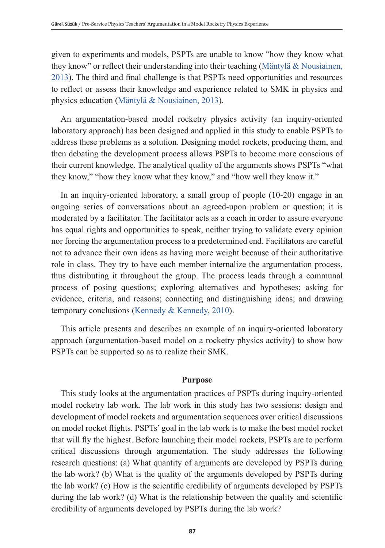given to experiments and models, PSPTs are unable to know "how they know what they know" or reflect their understanding into their teaching (Mäntylä & Nousiainen, 2013). The third and final challenge is that PSPTs need opportunities and resources to reflect or assess their knowledge and experience related to SMK in physics and physics education (Mäntylä & Nousiainen, 2013).

An argumentation-based model rocketry physics activity (an inquiry-oriented laboratory approach) has been designed and applied in this study to enable PSPTs to address these problems as a solution. Designing model rockets, producing them, and then debating the development process allows PSPTs to become more conscious of their current knowledge. The analytical quality of the arguments shows PSPTs "what they know," "how they know what they know," and "how well they know it."

In an inquiry-oriented laboratory, a small group of people (10-20) engage in an ongoing series of conversations about an agreed-upon problem or question; it is moderated by a facilitator. The facilitator acts as a coach in order to assure everyone has equal rights and opportunities to speak, neither trying to validate every opinion nor forcing the argumentation process to a predetermined end. Facilitators are careful not to advance their own ideas as having more weight because of their authoritative role in class. They try to have each member internalize the argumentation process, thus distributing it throughout the group. The process leads through a communal process of posing questions; exploring alternatives and hypotheses; asking for evidence, criteria, and reasons; connecting and distinguishing ideas; and drawing temporary conclusions (Kennedy & Kennedy, 2010).

This article presents and describes an example of an inquiry-oriented laboratory approach (argumentation-based model on a rocketry physics activity) to show how PSPTs can be supported so as to realize their SMK.

#### **Purpose**

This study looks at the argumentation practices of PSPTs during inquiry-oriented model rocketry lab work. The lab work in this study has two sessions: design and development of model rockets and argumentation sequences over critical discussions on model rocket flights. PSPTs' goal in the lab work is to make the best model rocket that will fly the highest. Before launching their model rockets, PSPTs are to perform critical discussions through argumentation. The study addresses the following research questions: (a) What quantity of arguments are developed by PSPTs during the lab work? (b) What is the quality of the arguments developed by PSPTs during the lab work? (c) How is the scientific credibility of arguments developed by PSPTs during the lab work? (d) What is the relationship between the quality and scientific credibility of arguments developed by PSPTs during the lab work?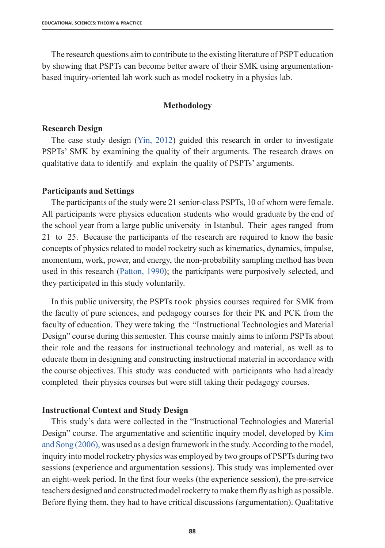The research questions aim to contribute to the existing literature of PSPT education by showing that PSPTs can become better aware of their SMK using argumentationbased inquiry-oriented lab work such as model rocketry in a physics lab.

#### **Methodology**

#### **Research Design**

The case study design (Yin, 2012) guided this research in order to investigate PSPTs' SMK by examining the quality of their arguments. The research draws on qualitative data to identify and explain the quality of PSPTs' arguments.

#### **Participants and Settings**

The participants of the study were 21 senior-class PSPTs, 10 of whom were female. All participants were physics education students who would graduate by the end of the school year from a large public university in Istanbul. Their ages ranged from 21 to 25. Because the participants of the research are required to know the basic concepts of physics related to model rocketry such as kinematics, dynamics, impulse, momentum, work, power, and energy, the non-probability sampling method has been used in this research (Patton, 1990); the participants were purposively selected, and they participated in this study voluntarily.

In this public university, the PSPTs took physics courses required for SMK from the faculty of pure sciences, and pedagogy courses for their PK and PCK from the faculty of education. They were taking the "Instructional Technologies and Material Design" course during this semester. This course mainly aims to inform PSPTs about their role and the reasons for instructional technology and material, as well as to educate them in designing and constructing instructional material in accordance with the course objectives. This study was conducted with participants who had already completed their physics courses but were still taking their pedagogy courses.

#### **Instructional Context and Study Design**

This study's data were collected in the "Instructional Technologies and Material Design" course. The argumentative and scientific inquiry model, developed by Kim and Song (2006), was used as a design framework in the study. According to the model, inquiry into model rocketry physics was employed by two groups of PSPTs during two sessions (experience and argumentation sessions). This study was implemented over an eight-week period. In the first four weeks (the experience session), the pre-service teachers designed and constructed model rocketry to make them fly as high as possible. Before flying them, they had to have critical discussions (argumentation). Qualitative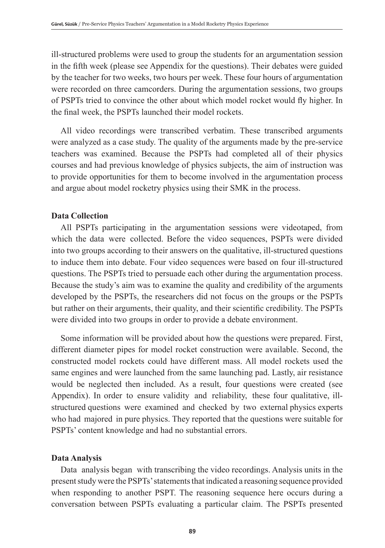ill-structured problems were used to group the students for an argumentation session in the fifth week (please see Appendix for the questions). Their debates were guided by the teacher for two weeks, two hours per week. These four hours of argumentation were recorded on three camcorders. During the argumentation sessions, two groups of PSPTs tried to convince the other about which model rocket would fly higher. In the final week, the PSPTs launched their model rockets.

All video recordings were transcribed verbatim. These transcribed arguments were analyzed as a case study. The quality of the arguments made by the pre-service teachers was examined. Because the PSPTs had completed all of their physics courses and had previous knowledge of physics subjects, the aim of instruction was to provide opportunities for them to become involved in the argumentation process and argue about model rocketry physics using their SMK in the process.

#### **Data Collection**

All PSPTs participating in the argumentation sessions were videotaped, from which the data were collected. Before the video sequences, PSPTs were divided into two groups according to their answers on the qualitative, ill-structured questions to induce them into debate. Four video sequences were based on four ill-structured questions. The PSPTs tried to persuade each other during the argumentation process. Because the study's aim was to examine the quality and credibility of the arguments developed by the PSPTs, the researchers did not focus on the groups or the PSPTs but rather on their arguments, their quality, and their scientific credibility. The PSPTs were divided into two groups in order to provide a debate environment.

Some information will be provided about how the questions were prepared. First, different diameter pipes for model rocket construction were available. Second, the constructed model rockets could have different mass. All model rockets used the same engines and were launched from the same launching pad. Lastly, air resistance would be neglected then included. As a result, four questions were created (see Appendix). In order to ensure validity and reliability, these four qualitative, illstructured questions were examined and checked by two external physics experts who had majored in pure physics. They reported that the questions were suitable for PSPTs' content knowledge and had no substantial errors.

#### **Data Analysis**

Data analysis began with transcribing the video recordings. Analysis units in the present study were the PSPTs' statements that indicated a reasoning sequence provided when responding to another PSPT. The reasoning sequence here occurs during a conversation between PSPTs evaluating a particular claim. The PSPTs presented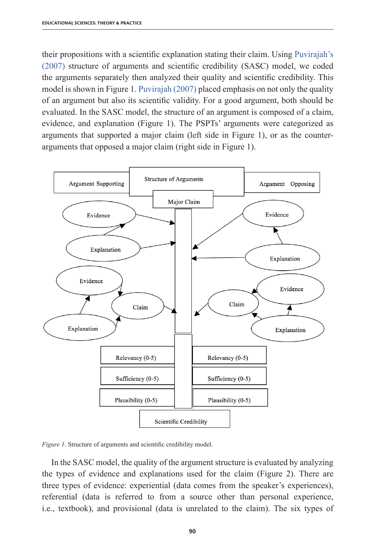their propositions with a scientific explanation stating their claim. Using Puvirajah's (2007) structure of arguments and scientific credibility (SASC) model, we coded the arguments separately then analyzed their quality and scientific credibility. This model is shown in Figure 1. Puvirajah (2007) placed emphasis on not only the quality of an argument but also its scientific validity. For a good argument, both should be evaluated. In the SASC model, the structure of an argument is composed of a claim, evidence, and explanation (Figure 1). The PSPTs' arguments were categorized as arguments that supported a major claim (left side in Figure 1), or as the counterarguments that opposed a major claim (right side in Figure 1).



*Figure 1*. Structure of arguments and scientific credibility model.

In the SASC model, the quality of the argument structure is evaluated by analyzing the types of evidence and explanations used for the claim (Figure 2). There are three types of evidence: experiential (data comes from the speaker's experiences), referential (data is referred to from a source other than personal experience, i.e., textbook), and provisional (data is unrelated to the claim). The six types of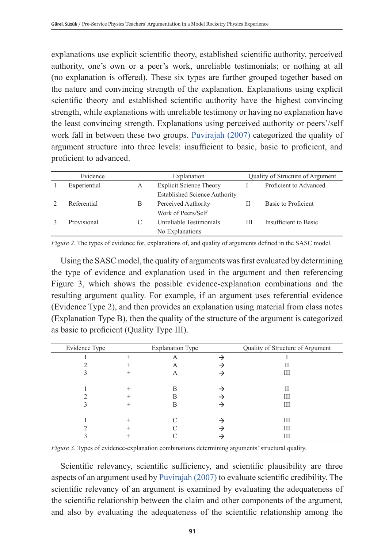explanations use explicit scientific theory, established scientific authority, perceived authority, one's own or a peer's work, unreliable testimonials; or nothing at all (no explanation is offered). These six types are further grouped together based on the nature and convincing strength of the explanation. Explanations using explicit scientific theory and established scientific authority have the highest convincing strength, while explanations with unreliable testimony or having no explanation have the least convincing strength. Explanations using perceived authority or peers'/self work fall in between these two groups. Puvirajah (2007) categorized the quality of argument structure into three levels: insufficient to basic, basic to proficient, and proficient to advanced.

| Evidence          |   | Explanation                          |   | Quality of Structure of Argument |
|-------------------|---|--------------------------------------|---|----------------------------------|
| Experiential<br>A |   | <b>Explicit Science Theory</b>       |   | Proficient to Advanced           |
|                   |   | <b>Established Science Authority</b> |   |                                  |
| Referential       | B | Perceived Authority                  | Н | Basic to Proficient              |
|                   |   | Work of Peers/Self                   |   |                                  |
| Provisional       |   | Unreliable Testimonials              | Ш | Insufficient to Basic            |
|                   |   | No Explanations                      |   |                                  |

*Figure 2.* The types of evidence for, explanations of, and quality of arguments defined in the SASC model.

Using the SASC model, the quality of arguments was first evaluated by determining the type of evidence and explanation used in the argument and then referencing Figure 3, which shows the possible evidence-explanation combinations and the resulting argument quality. For example, if an argument uses referential evidence (Evidence Type 2), and then provides an explanation using material from class notes (Explanation Type B), then the quality of the structure of the argument is categorized as basic to proficient (Quality Type III).

| Evidence Type | <b>Explanation Type</b> | Quality of Structure of Argument |
|---------------|-------------------------|----------------------------------|
|               | A                       |                                  |
|               | A                       | П                                |
|               | $\forall$               | Ш                                |
|               |                         |                                  |
|               |                         | Н                                |
|               |                         | Ш                                |
|               | в                       | Ш                                |
|               |                         |                                  |
|               |                         | Ш                                |
|               |                         | Ш                                |
|               |                         | Ш                                |

*Figure 3.* Types of evidence-explanation combinations determining arguments' structural quality.

Scientific relevancy, scientific sufficiency, and scientific plausibility are three aspects of an argument used by Puvirajah (2007) to evaluate scientific credibility. The scientific relevancy of an argument is examined by evaluating the adequateness of the scientific relationship between the claim and other components of the argument, and also by evaluating the adequateness of the scientific relationship among the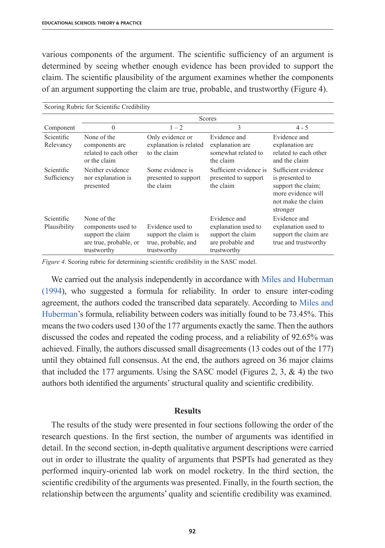various components of the argument. The scientific sufficiency of an argument is determined by seeing whether enough evidence has been provided to support the claim. The scientific plausibility of the argument examines whether the components of an argument supporting the claim are true, probable, and trustworthy (Figure 4).

| Scotling Rubric for Scientific Credibility |                                                                                                 |                                                                                |                                                                                             |                                                                                                                      |  |  |  |
|--------------------------------------------|-------------------------------------------------------------------------------------------------|--------------------------------------------------------------------------------|---------------------------------------------------------------------------------------------|----------------------------------------------------------------------------------------------------------------------|--|--|--|
|                                            | Scores                                                                                          |                                                                                |                                                                                             |                                                                                                                      |  |  |  |
| Component                                  | $\theta$                                                                                        | $1 - 2$                                                                        | 3                                                                                           | $4 - 5$                                                                                                              |  |  |  |
| Scientific                                 | None of the                                                                                     | Only evidence or                                                               | Evidence and                                                                                | Evidence and                                                                                                         |  |  |  |
| Relevancy                                  | components are<br>related to each other<br>or the claim                                         | explanation is related<br>to the claim                                         | explanation are<br>somewhat related to<br>the claim                                         | explanation are<br>related to each other<br>and the claim                                                            |  |  |  |
| Scientific<br>Sufficiency                  | Neither evidence<br>nor explanation is<br>presented                                             | Some evidence is<br>presented to support<br>the claim                          | Sufficient evidence is<br>presented to support<br>the claim                                 | Sufficient evidence<br>is presented to<br>support the claim;<br>more evidence will<br>not make the claim<br>stronger |  |  |  |
| Scientific<br>Plausibility                 | None of the<br>components used to<br>support the claim<br>are true, probable, or<br>trustworthy | Evidence used to<br>support the claim is<br>true, probable, and<br>trustworthy | Evidence and<br>explanation used to<br>support the claim<br>are probable and<br>trustworthy | Evidence and<br>explanation used to<br>support the claim are<br>true and trustworthy                                 |  |  |  |

Scoring Rubric for Scientific Credibility

*Figure 4*. Scoring rubric for determining scientific credibility in the SASC model.

We carried out the analysis independently in accordance with Miles and Huberman (1994), who suggested a formula for reliability. In order to ensure inter-coding agreement, the authors coded the transcribed data separately. According to Miles and Huberman's formula, reliability between coders was initially found to be 73.45%. This means the two coders used 130 of the 177 arguments exactly the same. Then the authors discussed the codes and repeated the coding process, and a reliability of 92.65% was achieved. Finally, the authors discussed small disagreements (13 codes out of the 177) until they obtained full consensus. At the end, the authors agreed on 36 major claims that included the 177 arguments. Using the SASC model (Figures 2, 3,  $\&$  4) the two authors both identified the arguments' structural quality and scientific credibility.

#### **Results**

The results of the study were presented in four sections following the order of the research questions. In the first section, the number of arguments was identified in detail. In the second section, in-depth qualitative argument descriptions were carried out in order to illustrate the quality of arguments that PSPTs had generated as they performed inquiry-oriented lab work on model rocketry. In the third section, the scientific credibility of the arguments was presented. Finally, in the fourth section, the relationship between the arguments' quality and scientific credibility was examined.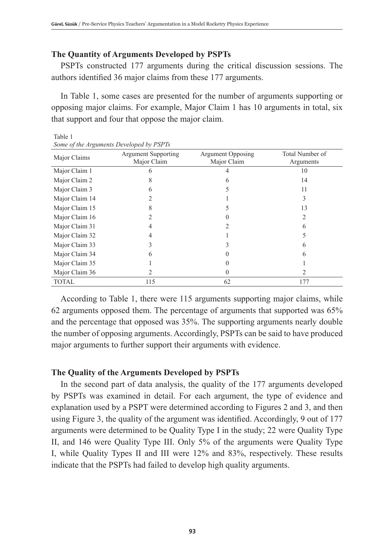## **The Quantity of Arguments Developed by PSPTs**

PSPTs constructed 177 arguments during the critical discussion sessions. The authors identified 36 major claims from these 177 arguments.

In Table 1, some cases are presented for the number of arguments supporting or opposing major claims. For example, Major Claim 1 has 10 arguments in total, six that support and four that oppose the major claim.

| Major Claims   | Argument Supporting<br>Major Claim | <b>Argument Opposing</b><br>Major Claim | Total Number of<br>Arguments |  |
|----------------|------------------------------------|-----------------------------------------|------------------------------|--|
| Major Claim 1  |                                    |                                         | 10                           |  |
| Major Claim 2  |                                    |                                         | 14                           |  |
| Major Claim 3  |                                    |                                         | 11                           |  |
| Major Claim 14 |                                    |                                         |                              |  |
| Major Claim 15 |                                    |                                         | 13                           |  |
| Major Claim 16 |                                    |                                         | 2                            |  |
| Major Claim 31 |                                    |                                         | h                            |  |
| Major Claim 32 |                                    |                                         |                              |  |
| Major Claim 33 |                                    |                                         | h                            |  |
| Major Claim 34 | 6                                  |                                         | 6                            |  |
| Major Claim 35 |                                    |                                         |                              |  |
| Major Claim 36 |                                    |                                         | 2                            |  |
| <b>TOTAL</b>   | 115                                | 62                                      | 177                          |  |

*Some of the Arguments Developed by PSPTs*

Table 1

According to Table 1, there were 115 arguments supporting major claims, while 62 arguments opposed them. The percentage of arguments that supported was 65% and the percentage that opposed was 35%. The supporting arguments nearly double the number of opposing arguments. Accordingly, PSPTs can be said to have produced major arguments to further support their arguments with evidence.

#### **The Quality of the Arguments Developed by PSPTs**

In the second part of data analysis, the quality of the 177 arguments developed by PSPTs was examined in detail. For each argument, the type of evidence and explanation used by a PSPT were determined according to Figures 2 and 3, and then using Figure 3, the quality of the argument was identified. Accordingly, 9 out of 177 arguments were determined to be Quality Type I in the study; 22 were Quality Type II, and 146 were Quality Type III. Only 5% of the arguments were Quality Type I, while Quality Types II and III were 12% and 83%, respectively. These results indicate that the PSPTs had failed to develop high quality arguments.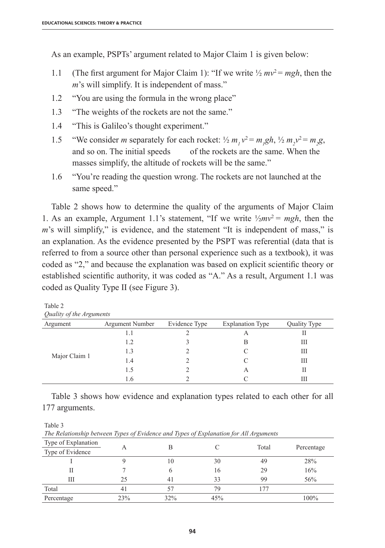As an example, PSPTs' argument related to Major Claim 1 is given below:

- 1.1 (The first argument for Major Claim 1): "If we write  $\frac{1}{2}mv^2 = mgh$ , then the *m*'s will simplify. It is independent of mass."
- 1.2 "You are using the formula in the wrong place"
- 1.3 "The weights of the rockets are not the same."
- 1.4 "This is Galileo's thought experiment."
- 1.5 "We consider *m* separately for each rocket:  $\frac{1}{2} m_1 v^2 = m_1 g h$ ,  $\frac{1}{2} m_2 v^2 = m_2 g$ , and so on. The initial speeds of the rockets are the same. When the masses simplify, the altitude of rockets will be the same."
- 1.6 "You're reading the question wrong. The rockets are not launched at the same speed."

Table 2 shows how to determine the quality of the arguments of Major Claim 1. As an example, Argument 1.1's statement, "If we write  $\frac{1}{2}mv^2 = mgh$ , then the *m*'s will simplify," is evidence, and the statement "It is independent of mass," is an explanation. As the evidence presented by the PSPT was referential (data that is referred to from a source other than personal experience such as a textbook), it was coded as "2," and because the explanation was based on explicit scientific theory or established scientific authority, it was coded as "A." As a result, Argument 1.1 was coded as Quality Type II (see Figure 3).

| Quality of the Arguments    |     |               |                         |              |  |  |  |
|-----------------------------|-----|---------------|-------------------------|--------------|--|--|--|
| Argument Number<br>Argument |     | Evidence Type | <b>Explanation Type</b> | Quality Type |  |  |  |
|                             | I.I |               |                         |              |  |  |  |
|                             | 1.2 |               | B                       | Ш            |  |  |  |
|                             | 1.3 |               |                         | Ш            |  |  |  |
| Major Claim 1               | 1.4 |               |                         | Ш            |  |  |  |
|                             | 1.5 |               |                         |              |  |  |  |
|                             | 1.6 |               |                         | Ш            |  |  |  |

|  |  | Table 3 shows how evidence and explanation types related to each other for all |
|--|--|--------------------------------------------------------------------------------|

Table 3

177 arguments.

Table 2

*The Relationship between Types of Evidence and Types of Explanation for All Arguments*

| Type of Explanation<br>Type of Evidence |     | B   |     | Total | Percentage |
|-----------------------------------------|-----|-----|-----|-------|------------|
|                                         |     | 10  | 30  | 49    | 28%        |
|                                         |     | n   | 16  | 29    | 16%        |
| Ш                                       | 25  | 41  | 33  | 99    | 56%        |
| Total                                   | 41  |     | 79  | 177   |            |
| Percentage                              | 23% | 32% | 45% |       | 100%       |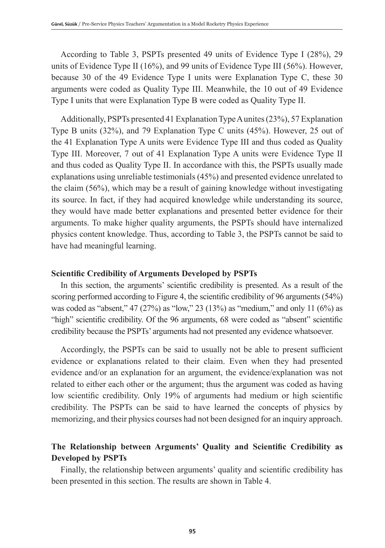According to Table 3, PSPTs presented 49 units of Evidence Type I (28%), 29 units of Evidence Type II (16%), and 99 units of Evidence Type III (56%). However, because 30 of the 49 Evidence Type I units were Explanation Type C, these 30 arguments were coded as Quality Type III. Meanwhile, the 10 out of 49 Evidence Type I units that were Explanation Type B were coded as Quality Type II.

Additionally, PSPTs presented 41 Explanation Type A unites (23%), 57 Explanation Type B units (32%), and 79 Explanation Type C units (45%). However, 25 out of the 41 Explanation Type A units were Evidence Type III and thus coded as Quality Type III. Moreover, 7 out of 41 Explanation Type A units were Evidence Type II and thus coded as Quality Type II. In accordance with this, the PSPTs usually made explanations using unreliable testimonials (45%) and presented evidence unrelated to the claim (56%), which may be a result of gaining knowledge without investigating its source. In fact, if they had acquired knowledge while understanding its source, they would have made better explanations and presented better evidence for their arguments. To make higher quality arguments, the PSPTs should have internalized physics content knowledge. Thus, according to Table 3, the PSPTs cannot be said to have had meaningful learning.

## **Scientific Credibility of Arguments Developed by PSPTs**

In this section, the arguments' scientific credibility is presented. As a result of the scoring performed according to Figure 4, the scientific credibility of 96 arguments (54%) was coded as "absent," 47 (27%) as "low," 23 (13%) as "medium," and only 11 (6%) as "high" scientific credibility. Of the 96 arguments, 68 were coded as "absent" scientific credibility because the PSPTs' arguments had not presented any evidence whatsoever.

Accordingly, the PSPTs can be said to usually not be able to present sufficient evidence or explanations related to their claim. Even when they had presented evidence and/or an explanation for an argument, the evidence/explanation was not related to either each other or the argument; thus the argument was coded as having low scientific credibility. Only 19% of arguments had medium or high scientific credibility. The PSPTs can be said to have learned the concepts of physics by memorizing, and their physics courses had not been designed for an inquiry approach.

## **The Relationship between Arguments' Quality and Scientific Credibility as Developed by PSPTs**

Finally, the relationship between arguments' quality and scientific credibility has been presented in this section. The results are shown in Table 4.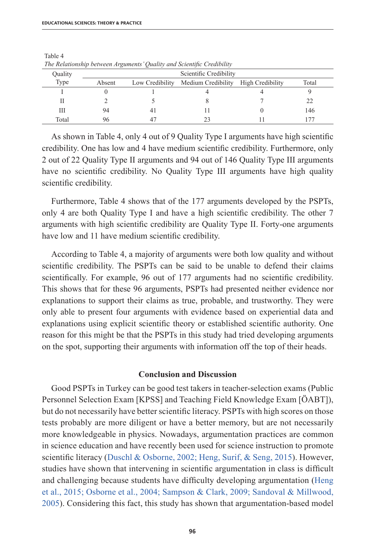| The recommended corrections famous commit when severally encarements |                        |             |                                                     |  |       |  |  |  |
|----------------------------------------------------------------------|------------------------|-------------|-----------------------------------------------------|--|-------|--|--|--|
| Quality                                                              | Scientific Credibility |             |                                                     |  |       |  |  |  |
| Type                                                                 | Absent                 |             | Low Credibility Medium Credibility High Credibility |  | Total |  |  |  |
|                                                                      |                        |             |                                                     |  |       |  |  |  |
|                                                                      |                        |             |                                                     |  |       |  |  |  |
| Ш                                                                    | 94                     | 4           |                                                     |  | 146   |  |  |  |
| Total                                                                | 96                     | $4^{\circ}$ |                                                     |  |       |  |  |  |

Table 4 *The Relationship between Arguments' Quality and Scientific Credibility*

As shown in Table 4, only 4 out of 9 Quality Type I arguments have high scientific credibility. One has low and 4 have medium scientific credibility. Furthermore, only 2 out of 22 Quality Type II arguments and 94 out of 146 Quality Type III arguments have no scientific credibility. No Quality Type III arguments have high quality scientific credibility.

Furthermore, Table 4 shows that of the 177 arguments developed by the PSPTs, only 4 are both Quality Type I and have a high scientific credibility. The other 7 arguments with high scientific credibility are Quality Type II. Forty-one arguments have low and 11 have medium scientific credibility.

According to Table 4, a majority of arguments were both low quality and without scientific credibility. The PSPTs can be said to be unable to defend their claims scientifically. For example, 96 out of 177 arguments had no scientific credibility. This shows that for these 96 arguments, PSPTs had presented neither evidence nor explanations to support their claims as true, probable, and trustworthy. They were only able to present four arguments with evidence based on experiential data and explanations using explicit scientific theory or established scientific authority. One reason for this might be that the PSPTs in this study had tried developing arguments on the spot, supporting their arguments with information off the top of their heads.

#### **Conclusion and Discussion**

Good PSPTs in Turkey can be good test takers in teacher-selection exams (Public Personnel Selection Exam [KPSS] and Teaching Field Knowledge Exam [ÖABT]), but do not necessarily have better scientific literacy. PSPTs with high scores on those tests probably are more diligent or have a better memory, but are not necessarily more knowledgeable in physics. Nowadays, argumentation practices are common in science education and have recently been used for science instruction to promote scientific literacy (Duschl & Osborne, 2002; Heng, Surif, & Seng, 2015). However, studies have shown that intervening in scientific argumentation in class is difficult and challenging because students have difficulty developing argumentation (Heng et al., 2015; Osborne et al., 2004; Sampson & Clark, 2009; Sandoval & Millwood, 2005). Considering this fact, this study has shown that argumentation-based model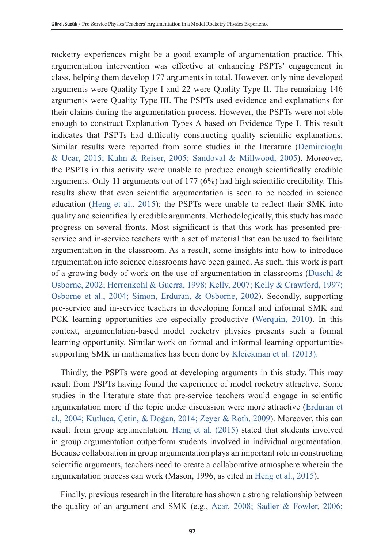rocketry experiences might be a good example of argumentation practice. This argumentation intervention was effective at enhancing PSPTs' engagement in class, helping them develop 177 arguments in total. However, only nine developed arguments were Quality Type I and 22 were Quality Type II. The remaining 146 arguments were Quality Type III. The PSPTs used evidence and explanations for their claims during the argumentation process. However, the PSPTs were not able enough to construct Explanation Types A based on Evidence Type I. This result indicates that PSPTs had difficulty constructing quality scientific explanations. Similar results were reported from some studies in the literature (Demircioglu & Ucar, 2015; Kuhn & Reiser, 2005; Sandoval & Millwood, 2005). Moreover, the PSPTs in this activity were unable to produce enough scientifically credible arguments. Only 11 arguments out of 177 (6%) had high scientific credibility. This results show that even scientific argumentation is seen to be needed in science education (Heng et al., 2015); the PSPTs were unable to reflect their SMK into quality and scientifically credible arguments. Methodologically, this study has made progress on several fronts. Most significant is that this work has presented preservice and in-service teachers with a set of material that can be used to facilitate argumentation in the classroom. As a result, some insights into how to introduce argumentation into science classrooms have been gained. As such, this work is part of a growing body of work on the use of argumentation in classrooms (Duschl  $\&$ Osborne, 2002; Herrenkohl & Guerra, 1998; Kelly, 2007; Kelly & Crawford, 1997; Osborne et al., 2004; Simon, Erduran, & Osborne, 2002). Secondly, supporting pre-service and in-service teachers in developing formal and informal SMK and PCK learning opportunities are especially productive (Werquin, 2010). In this context, argumentation-based model rocketry physics presents such a formal learning opportunity. Similar work on formal and informal learning opportunities supporting SMK in mathematics has been done by Kleickman et al. (2013).

Thirdly, the PSPTs were good at developing arguments in this study. This may result from PSPTs having found the experience of model rocketry attractive. Some studies in the literature state that pre-service teachers would engage in scientific argumentation more if the topic under discussion were more attractive (Erduran et al., 2004; Kutluca, Çetin, & Doğan, 2014; Zeyer & Roth, 2009). Moreover, this can result from group argumentation. Heng et al. (2015) stated that students involved in group argumentation outperform students involved in individual argumentation. Because collaboration in group argumentation plays an important role in constructing scientific arguments, teachers need to create a collaborative atmosphere wherein the argumentation process can work (Mason, 1996, as cited in Heng et al., 2015).

Finally, previous research in the literature has shown a strong relationship between the quality of an argument and SMK (e.g., Acar, 2008; Sadler & Fowler, 2006;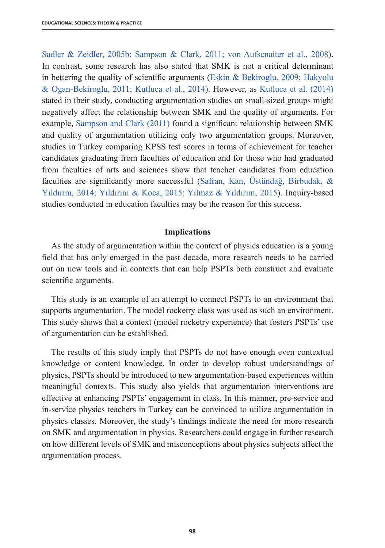Sadler & Zeidler, 2005b; Sampson & Clark, 2011; von Aufscnaiter et al., 2008). In contrast, some research has also stated that SMK is not a critical determinant in bettering the quality of scientific arguments (Eskin & Bekiroglu, 2009; Hakyolu & Ogan-Bekiroglu, 2011; Kutluca et al., 2014). However, as Kutluca et al. (2014) stated in their study, conducting argumentation studies on small-sized groups might negatively affect the relationship between SMK and the quality of arguments. For example, Sampson and Clark (2011) found a significant relationship between SMK and quality of argumentation utilizing only two argumentation groups. Moreover, studies in Turkey comparing KPSS test scores in terms of achievement for teacher candidates graduating from faculties of education and for those who had graduated from faculties of arts and sciences show that teacher candidates from education faculties are significantly more successful (Safran, Kan, Üstündağ, Birbudak, & Yıldırım, 2014; Yıldırım & Koca, 2015; Yılmaz & Yıldırım, 2015). Inquiry-based studies conducted in education faculties may be the reason for this success.

#### **Implications**

As the study of argumentation within the context of physics education is a young field that has only emerged in the past decade, more research needs to be carried out on new tools and in contexts that can help PSPTs both construct and evaluate scientific arguments.

This study is an example of an attempt to connect PSPTs to an environment that supports argumentation. The model rocketry class was used as such an environment. This study shows that a context (model rocketry experience) that fosters PSPTs' use of argumentation can be established.

The results of this study imply that PSPTs do not have enough even contextual knowledge or content knowledge. In order to develop robust understandings of physics, PSPTs should be introduced to new argumentation-based experiences within meaningful contexts. This study also yields that argumentation interventions are effective at enhancing PSPTs' engagement in class. In this manner, pre-service and in-service physics teachers in Turkey can be convinced to utilize argumentation in physics classes. Moreover, the study's findings indicate the need for more research on SMK and argumentation in physics. Researchers could engage in further research on how different levels of SMK and misconceptions about physics subjects affect the argumentation process.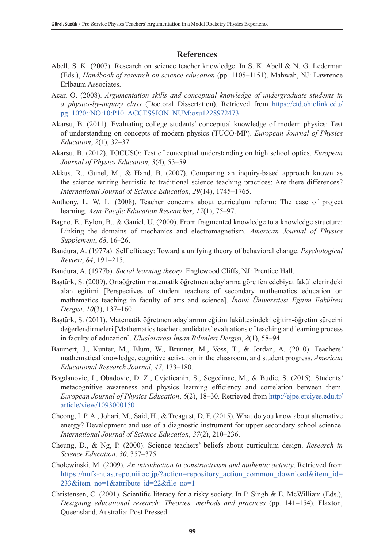## **References**

- Abell, S. K. (2007). Research on science teacher knowledge. In S. K. Abell & N. G. Lederman (Eds.), *Handbook of research on science education* (pp. 1105–1151). Mahwah, NJ: Lawrence Erlbaum Associates.
- Acar, O. (2008). *Argumentation skills and conceptual knowledge of undergraduate students in a physics-by-inquiry class* (Doctoral Dissertation). Retrieved from https://etd.ohiolink.edu/ pg\_10?0::NO:10:P10\_ACCESSION\_NUM:osu1228972473
- Akarsu, B. (2011). Evaluating college students' conceptual knowledge of modern physics: Test of understanding on concepts of modern physics (TUCO-MP). *European Journal of Physics Education*, *2*(1), 32–37.
- Akarsu, B. (2012). TOCUSO: Test of conceptual understanding on high school optics. *European Journal of Physics Education*, *3*(4), 53–59.
- Akkus, R., Gunel, M., & Hand, B. (2007). Comparing an inquiry-based approach known as the science writing heuristic to traditional science teaching practices: Are there differences? *International Journal of Science Education*, *29*(14), 1745–1765.
- Anthony, L. W. L. (2008). Teacher concerns about curriculum reform: The case of project learning. *Asia-Pacific Education Researcher*, *17*(1), 75–97.
- Bagno, E., Eylon, B., & Ganiel, U. (2000). From fragmented knowledge to a knowledge structure: Linking the domains of mechanics and electromagnetism. *American Journal of Physics Supplement*, *68*, 16–26.
- Bandura, A. (1977a). Self efficacy: Toward a unifying theory of behavioral change. *Psychological Review*, *84*, 191–215.
- Bandura, A. (1977b). *Social learning theory*. Englewood Cliffs, NJ: Prentice Hall.
- Baştürk, S. (2009). Ortaöğretim matematik öğretmen adaylarına göre fen edebiyat fakültelerindeki alan eğitimi [Perspectives of student teachers of secondary mathematics education on mathematics teaching in faculty of arts and science]. *İnönü Üniversitesi Eğitim Fakültesi Dergisi*, *10*(3), 137–160.
- Baştürk, S. (2011). Matematik öğretmen adaylarının eğitim fakültesindeki eğitim-öğretim sürecini değerlendirmeleri [Mathematics teacher candidates' evaluations of teaching and learning process in faculty of education]*. Uluslararası İnsan Bilimleri Dergisi*, *8*(1), 58–94.
- Baumert, J., Kunter, M., Blum, W., Brunner, M., Voss, T., & Jordan, A. (2010). Teachers' mathematical knowledge, cognitive activation in the classroom, and student progress. *American Educational Research Journal*, *47*, 133–180.
- Bogdanovic, I., Obadovic, D. Z., Cvjeticanin, S., Segedinac, M., & Budic, S. (2015). Students' metacognitive awareness and physics learning efficiency and correlation between them. *European Journal of Physics Education*, *6*(2), 18–30. Retrieved from http://ejpe.erciyes.edu.tr/ article/view/1093000150
- Cheong, I. P. A., Johari, M., Said, H., & Treagust, D. F. (2015). What do you know about alternative energy? Development and use of a diagnostic instrument for upper secondary school science. *International Journal of Science Education*, *37*(2), 210–236.
- Cheung, D., & Ng, P. (2000). Science teachers' beliefs about curriculum design. *Research in Science Education*, *30*, 357–375.
- Cholewinski, M. (2009). *An introduction to constructivism and authentic activity*. Retrieved from https://nufs-nuas.repo.nii.ac.jp/?action=repository\_action\_common\_download&item\_id= 233&item\_no=1&attribute\_id=22&file\_no=1
- Christensen, C. (2001). Scientific literacy for a risky society. In P. Singh & E. McWilliam (Eds.), *Designing educational research: Theories, methods and practices* (pp. 141–154). Flaxton, Queensland, Australia: Post Pressed.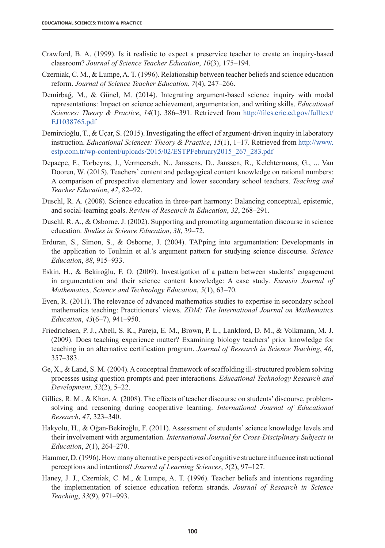- Crawford, B. A. (1999). Is it realistic to expect a preservice teacher to create an inquiry-based classroom? *Journal of Science Teacher Education*, *10*(3), 175–194.
- Czerniak, C. M., & Lumpe, A. T. (1996). Relationship between teacher beliefs and science education reform. *Journal of Science Teacher Education*, *7*(4), 247–266.
- Demirbağ, M., & Günel, M. (2014). Integrating argument-based science inquiry with modal representations: Impact on science achievement, argumentation, and writing skills. *Educational Sciences: Theory & Practice*, *14*(1), 386–391. Retrieved from http://files.eric.ed.gov/fulltext/ EJ1038765.pdf
- Demircioğlu, T., & Uçar, S. (2015). Investigating the effect of argument-driven inquiry in laboratory instruction. *Educational Sciences: Theory & Practice*, *15*(1), 1–17. Retrieved from http://www. estp.com.tr/wp-content/uploads/2015/02/ESTPFebruary2015\_267\_283.pdf
- Depaepe, F., Torbeyns, J., Vermeersch, N., Janssens, D., Janssen, R., Kelchtermans, G., ... Van Dooren, W. (2015). Teachers' content and pedagogical content knowledge on rational numbers: A comparison of prospective elementary and lower secondary school teachers. *Teaching and Teacher Education*, *47*, 82–92.
- Duschl, R. A. (2008). Science education in three-part harmony: Balancing conceptual, epistemic, and social-learning goals. *Review of Research in Education*, *32*, 268–291.
- Duschl, R. A., & Osborne, J. (2002). Supporting and promoting argumentation discourse in science education. *Studies in Science Education*, *38*, 39–72.
- Erduran, S., Simon, S., & Osborne, J. (2004). TAPping into argumentation: Developments in the application to Toulmin et al.'s argument pattern for studying science discourse. *Science Education*, *88*, 915–933.
- Eskin, H., & Bekiroğlu, F. O. (2009). Investigation of a pattern between students' engagement in argumentation and their science content knowledge: A case study. *Eurasia Journal of Mathematics, Science and Technology Education*, *5*(1), 63–70.
- Even, R. (2011). The relevance of advanced mathematics studies to expertise in secondary school mathematics teaching: Practitioners' views. *ZDM: The International Journal on Mathematics Education*, *43*(6–7), 941–950.
- Friedrichsen, P. J., Abell, S. K., Pareja, E. M., Brown, P. L., Lankford, D. M., & Volkmann, M. J. (2009). Does teaching experience matter? Examining biology teachers' prior knowledge for teaching in an alternative certification program. *Journal of Research in Science Teaching*, *46*, 357–383.
- Ge, X., & Land, S. M. (2004). A conceptual framework of scaffolding ill-structured problem solving processes using question prompts and peer interactions. *Educational Technology Research and Development*, *52*(2), 5–22.
- Gillies, R. M., & Khan, A. (2008). The effects of teacher discourse on students' discourse, problemsolving and reasoning during cooperative learning. *International Journal of Educational Research*, *47*, 323–340.
- Hakyolu, H., & Oğan-Bekiroğlu, F. (2011). Assessment of students' science knowledge levels and their involvement with argumentation. *International Journal for Cross-Disciplinary Subjects in Education*, *2*(1), 264–270.
- Hammer, D. (1996). How many alternative perspectives of cognitive structure influence instructional perceptions and intentions? *Journal of Learning Sciences*, *5*(2), 97–127.
- Haney, J. J., Czerniak, C. M., & Lumpe, A. T. (1996). Teacher beliefs and intentions regarding the implementation of science education reform strands. *Journal of Research in Science Teaching*, *33*(9), 971–993.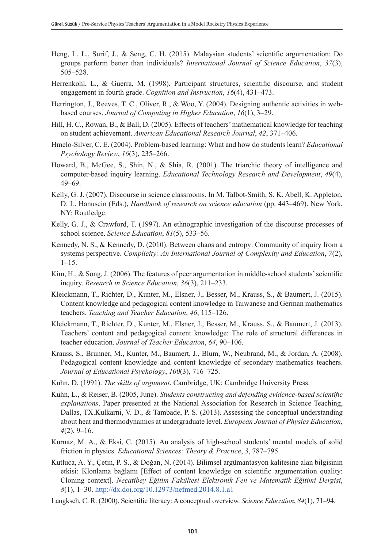- Heng, L. L., Surif, J., & Seng, C. H. (2015). Malaysian students' scientific argumentation: Do groups perform better than individuals? *International Journal of Science Education*, *37*(3), 505–528.
- Herrenkohl, L., & Guerra, M. (1998). Participant structures, scientific discourse, and student engagement in fourth grade. *Cognition and Instruction*, *16*(4), 431–473.
- Herrington, J., Reeves, T. C., Oliver, R., & Woo, Y. (2004). Designing authentic activities in webbased courses. *Journal of Computing in Higher Education*, *16*(1), 3–29.
- Hill, H. C., Rowan, B., & Ball, D. (2005). Effects of teachers' mathematical knowledge for teaching on student achievement. *American Educational Research Journal*, *42*, 371–406.
- Hmelo-Silver, C. E. (2004). Problem-based learning: What and how do students learn? *Educational Psychology Review*, *16*(3), 235–266.
- Howard, B., McGee, S., Shin, N., & Shia, R. (2001). The triarchic theory of intelligence and computer-based inquiry learning. *Educational Technology Research and Development*, *49*(4), 49–69.
- Kelly, G. J. (2007). Discourse in science classrooms. In M. Talbot-Smith, S. K. Abell, K. Appleton, D. L. Hanuscin (Eds.), *Handbook of research on science education* (pp. 443–469). New York, NY: Routledge.
- Kelly, G. J., & Crawford, T. (1997). An ethnographic investigation of the discourse processes of school science. *Science Education*, *81*(5), 533–56.
- Kennedy, N. S., & Kennedy, D. (2010). Between chaos and entropy: Community of inquiry from a systems perspective. *Complicity: An International Journal of Complexity and Education*, *7*(2),  $1 - 15$ .
- Kim, H., & Song, J. (2006). The features of peer argumentation in middle-school students' scientific inquiry. *Research in Science Education*, *36*(3), 211–233.
- Kleickmann, T., Richter, D., Kunter, M., Elsner, J., Besser, M., Krauss, S., & Baumert, J. (2015). Content knowledge and pedagogical content knowledge in Taiwanese and German mathematics teachers. *Teaching and Teacher Education*, *46*, 115–126.
- Kleickmann, T., Richter, D., Kunter, M., Elsner, J., Besser, M., Krauss, S., & Baumert, J. (2013). Teachers' content and pedagogical content knowledge: The role of structural differences in teacher education. *Journal of Teacher Education*, *64*, 90–106.
- Krauss, S., Brunner, M., Kunter, M., Baumert, J., Blum, W., Neubrand, M., & Jordan, A. (2008). Pedagogical content knowledge and content knowledge of secondary mathematics teachers. *Journal of Educational Psychology*, *100*(3), 716–725.
- Kuhn, D. (1991). *The skills of argument*. Cambridge, UK: Cambridge University Press.
- Kuhn, L., & Reiser, B. (2005, June). *Students constructing and defending evidence-based scientific explanations*. Paper presented at the National Association for Research in Science Teaching, Dallas, TX.Kulkarni, V. D., & Tambade, P. S. (2013). Assessing the conceptual understanding about heat and thermodynamics at undergraduate level. *European Journal of Physics Education*, *4*(2), 9–16.
- Kurnaz, M. A., & Eksi, C. (2015). An analysis of high-school students' mental models of solid friction in physics. *Educational Sciences: Theory & Practice*, *3*, 787–795.
- Kutluca, A. Y., Çetin, P. S., & Doğan, N. (2014). Bilimsel argümantasyon kalitesine alan bilgisinin etkisi: Klonlama bağlamı [Effect of content knowledge on scientific argumentation quality: Cloning context]. *Necatibey Eğitim Fakültesi Elektronik Fen ve Matematik Eğitimi Dergisi*, *8*(1), 1–30. http://dx.doi.org/10.12973/nefmed.2014.8.1.a1
- Laugksch, C. R. (2000). Scientific literacy: A conceptual overview. *Science Education*, *84*(1), 71–94.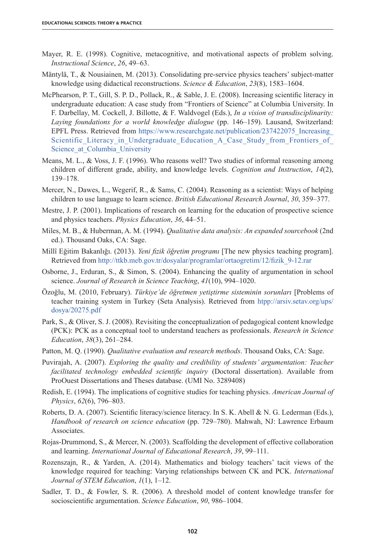- Mayer, R. E. (1998). Cognitive, metacognitive, and motivational aspects of problem solving. *Instructional Science*, *26*, 49–63.
- Mäntylä, T., & Nousiainen, M. (2013). Consolidating pre-service physics teachers' subject-matter knowledge using didactical reconstructions. *Science & Education*, *23*(8), 1583–1604.
- McPhearson, P. T., Gill, S. P. D., Pollack, R., & Sable, J. E. (2008). Increasing scientific literacy in undergraduate education: A case study from "Frontiers of Science" at Columbia University. In F. Darbellay, M. Cockell, J. Billotte, & F. Waldvogel (Eds.), *In a vision of transdisciplinarity: Laying foundations for a world knowledge dialogue* (pp. 146–159). Lausand, Switzerland: EPFL Press. Retrieved from https://www.researchgate.net/publication/237422075\_Increasing Scientific Literacy in Undergraduate Education A Case Study from Frontiers of Science at Columbia University
- Means, M. L., & Voss, J. F. (1996). Who reasons well? Two studies of informal reasoning among children of different grade, ability, and knowledge levels. *Cognition and Instruction*, *14*(2), 139–178.
- Mercer, N., Dawes, L., Wegerif, R., & Sams, C. (2004). Reasoning as a scientist: Ways of helping children to use language to learn science. *British Educational Research Journal*, *30*, 359–377.
- Mestre, J. P. (2001). Implications of research on learning for the education of prospective science and physics teachers. *Physics Education*, *36*, 44–51.
- Miles, M. B., & Huberman, A. M. (1994). *Qualitative data analysis: An expanded sourcebook* (2nd ed.). Thousand Oaks, CA: Sage.
- Millî Eğitim Bakanlığı. (2013). *Yeni fizik öğretim programı* [The new physics teaching program]. Retrieved from http://ttkb.meb.gov.tr/dosyalar/programlar/ortaogretim/12/fizik\_9-12.rar
- Osborne, J., Erduran, S., & Simon, S. (2004). Enhancing the quality of argumentation in school science. *Journal of Research in Science Teaching*, *41*(10), 994–1020.
- Özoğlu, M. (2010, February). *Türkiye'de öğretmen yetiştirme sisteminin sorunları* [Problems of teacher training system in Turkey (Seta Analysis). Retrieved from htpp://arsiv.setav.org/ups/ dosya/20275.pdf
- Park, S., & Oliver, S. J. (2008). Revisiting the conceptualization of pedagogical content knowledge (PCK): PCK as a conceptual tool to understand teachers as professionals. *Research in Science Education*, *38*(3), 261–284.
- Patton, M. Q. (1990). *Qualitative evaluation and research methods*. Thousand Oaks, CA: Sage.
- Puvirajah, A. (2007). *Exploring the quality and credibility of students' argumentation: Teacher facilitated technology embedded scientific inquiry* (Doctoral dissertation). Available from ProOuest Dissertations and Theses database. (UMI No. 3289408)
- Redish, E. (1994). The implications of cognitive studies for teaching physics. *American Journal of Physics*, *62*(6), 796–803.
- Roberts, D. A. (2007). Scientific literacy/science literacy. In S. K. Abell & N. G. Lederman (Eds.), *Handbook of research on science education* (pp. 729–780). Mahwah, NJ: Lawrence Erbaum Associates.
- Rojas-Drummond, S., & Mercer, N. (2003). Scaffolding the development of effective collaboration and learning. *International Journal of Educational Research*, *39*, 99–111.
- Rozenszajn, R., & Yarden, A. (2014). Mathematics and biology teachers' tacit views of the knowledge required for teaching: Varying relationships between CK and PCK. *International Journal of STEM Education*, *1*(1), 1–12.
- Sadler, T. D., & Fowler, S. R. (2006). A threshold model of content knowledge transfer for socioscientific argumentation. *Science Education*, *90*, 986–1004.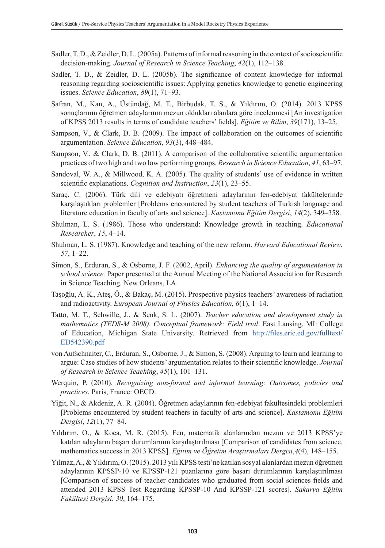- Sadler, T. D., & Zeidler, D. L. (2005a). Patterns of informal reasoning in the context of socioscientific decision-making. *Journal of Research in Science Teaching*, *42*(1), 112–138.
- Sadler, T. D., & Zeidler, D. L. (2005b). The significance of content knowledge for informal reasoning regarding socioscientific issues: Applying genetics knowledge to genetic engineering issues. *Science Education*, *89*(1), 71–93.
- Safran, M., Kan, A., Üstündağ, M. T., Birbudak, T. S., & Yıldırım, O. (2014). 2013 KPSS sonuçlarının öğretmen adaylarının mezun oldukları alanlara göre incelenmesi [An investigation of KPSS 2013 results in terms of candidate teachers' fields]. *Eğitim ve Bilim*, *39*(171), 13–25.
- Sampson, V., & Clark, D. B. (2009). The impact of collaboration on the outcomes of scientific argumentation. *Science Education*, *93*(3), 448–484.
- Sampson, V., & Clark, D. B. (2011). A comparison of the collaborative scientific argumentation practices of two high and two low performing groups. *Research in Science Education*, *41*, 63–97.
- Sandoval, W. A., & Millwood, K. A. (2005). The quality of students' use of evidence in written scientific explanations. *Cognition and Instruction*, 23(1), 23–55.
- Saraç, C. (2006). Türk dili ve edebiyatı öğretmeni adaylarının fen-edebiyat fakültelerinde karşılaştıkları problemler [Problems encountered by student teachers of Turkish language and literature education in faculty of arts and science]. *Kastamonu Eğitim Dergisi*, *14*(2), 349–358.
- Shulman, L. S. (1986). Those who understand: Knowledge growth in teaching. *Educational Researcher*, *15*, 4–14.
- Shulman, L. S. (1987). Knowledge and teaching of the new reform. *Harvard Educational Review*, *57*, 1–22.
- Simon, S., Erduran, S., & Osborne, J. F. (2002, April). *Enhancing the quality of argumentation in school science.* Paper presented at the Annual Meeting of the National Association for Research in Science Teaching. New Orleans, LA.
- Taşoğlu, A. K., Ateş, Ö., & Bakaç, M. (2015). Prospective physics teachers' awareness of radiation and radioactivity. *European Journal of Physics Education*, *6*(1), 1–14.
- Tatto, M. T., Schwille, J., & Senk, S. L. (2007). *Teacher education and development study in mathematics (TEDS-M 2008). Conceptual framework: Field trial*. East Lansing, MI: College of Education, Michigan State University. Retrieved from http://files.eric.ed.gov/fulltext/ ED542390.pdf
- von Aufschnaiter, C., Erduran, S., Osborne, J., & Simon, S. (2008). Arguing to learn and learning to argue: Case studies of how students' argumentation relates to their scientific knowledge. *Journal of Research in Science Teaching*, *45*(1), 101–131.
- Werquin, P. (2010). *Recognizing non-formal and informal learning: Outcomes, policies and practices*. Paris, France: OECD.
- Yiğit, N., & Akdeniz, A. R. (2004). Öğretmen adaylarının fen-edebiyat fakültesindeki problemleri [Problems encountered by student teachers in faculty of arts and science]. *Kastamonu Eğitim Dergisi*, *12*(1), 77–84.
- Yıldırım, O., & Koca, M. R. (2015). Fen, matematik alanlarından mezun ve 2013 KPSS'ye katılan adayların başarı durumlarının karşılaştırılması [Comparison of candidates from science, mathematics success in 2013 KPSS]. *Eğitim ve Öğretim Araştırmaları Dergisi*,*4*(4), 148–155.
- Yılmaz, A., & Yıldırım, O. (2015). 2013 yılı KPSS testi'ne katılan sosyal alanlardan mezun öğretmen adaylarının KPSSP-10 ve KPSSP-121 puanlarına göre başarı durumlarının karşılaştırılması [Comparison of success of teacher candıdates who graduated from social sciences fields and attended 2013 KPSS Test Regarding KPSSP-10 And KPSSP-121 scores]. *Sakarya Eğitim Fakültesi Dergisi*, *30*, 164–175.